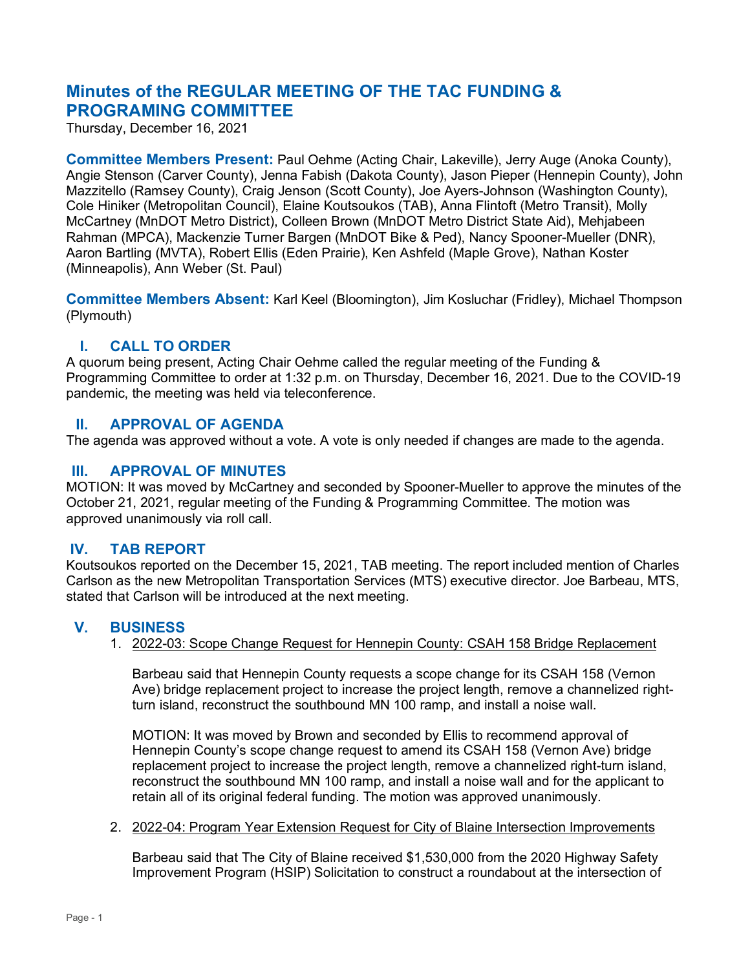# **Minutes of the REGULAR MEETING OF THE TAC FUNDING & PROGRAMING COMMITTEE**

Thursday, December 16, 2021

**Committee Members Present:** Paul Oehme (Acting Chair, Lakeville), Jerry Auge (Anoka County), Angie Stenson (Carver County), Jenna Fabish (Dakota County), Jason Pieper (Hennepin County), John Mazzitello (Ramsey County), Craig Jenson (Scott County), Joe Ayers-Johnson (Washington County), Cole Hiniker (Metropolitan Council), Elaine Koutsoukos (TAB), Anna Flintoft (Metro Transit), Molly McCartney (MnDOT Metro District), Colleen Brown (MnDOT Metro District State Aid), Mehjabeen Rahman (MPCA), Mackenzie Turner Bargen (MnDOT Bike & Ped), Nancy Spooner-Mueller (DNR), Aaron Bartling (MVTA), Robert Ellis (Eden Prairie), Ken Ashfeld (Maple Grove), Nathan Koster (Minneapolis), Ann Weber (St. Paul)

**Committee Members Absent:** Karl Keel (Bloomington), Jim Kosluchar (Fridley), Michael Thompson (Plymouth)

# **I. CALL TO ORDER**

A quorum being present, Acting Chair Oehme called the regular meeting of the Funding & Programming Committee to order at 1:32 p.m. on Thursday, December 16, 2021. Due to the COVID-19 pandemic, the meeting was held via teleconference.

# **II. APPROVAL OF AGENDA**

The agenda was approved without a vote. A vote is only needed if changes are made to the agenda.

# **III. APPROVAL OF MINUTES**

MOTION: It was moved by McCartney and seconded by Spooner-Mueller to approve the minutes of the October 21, 2021, regular meeting of the Funding & Programming Committee. The motion was approved unanimously via roll call.

# **IV. TAB REPORT**

Koutsoukos reported on the December 15, 2021, TAB meeting. The report included mention of Charles Carlson as the new Metropolitan Transportation Services (MTS) executive director. Joe Barbeau, MTS, stated that Carlson will be introduced at the next meeting.

# **V. BUSINESS**

1. 2022-03: Scope Change Request for Hennepin County: CSAH 158 Bridge Replacement

Barbeau said that Hennepin County requests a scope change for its CSAH 158 (Vernon Ave) bridge replacement project to increase the project length, remove a channelized rightturn island, reconstruct the southbound MN 100 ramp, and install a noise wall.

MOTION: It was moved by Brown and seconded by Ellis to recommend approval of Hennepin County's scope change request to amend its CSAH 158 (Vernon Ave) bridge replacement project to increase the project length, remove a channelized right-turn island, reconstruct the southbound MN 100 ramp, and install a noise wall and for the applicant to retain all of its original federal funding. The motion was approved unanimously.

#### 2. 2022-04: Program Year Extension Request for City of Blaine Intersection Improvements

Barbeau said that The City of Blaine received \$1,530,000 from the 2020 Highway Safety Improvement Program (HSIP) Solicitation to construct a roundabout at the intersection of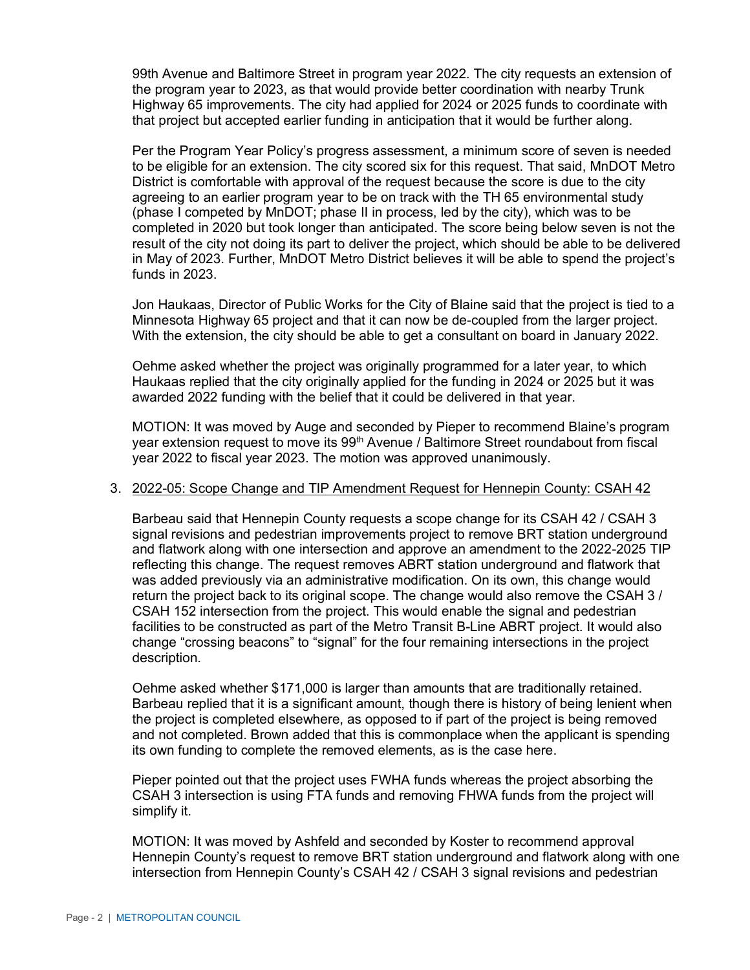99th Avenue and Baltimore Street in program year 2022. The city requests an extension of the program year to 2023, as that would provide better coordination with nearby Trunk Highway 65 improvements. The city had applied for 2024 or 2025 funds to coordinate with that project but accepted earlier funding in anticipation that it would be further along.

Per the Program Year Policy's progress assessment, a minimum score of seven is needed to be eligible for an extension. The city scored six for this request. That said, MnDOT Metro District is comfortable with approval of the request because the score is due to the city agreeing to an earlier program year to be on track with the TH 65 environmental study (phase I competed by MnDOT; phase II in process, led by the city), which was to be completed in 2020 but took longer than anticipated. The score being below seven is not the result of the city not doing its part to deliver the project, which should be able to be delivered in May of 2023. Further, MnDOT Metro District believes it will be able to spend the project's funds in 2023.

Jon Haukaas, Director of Public Works for the City of Blaine said that the project is tied to a Minnesota Highway 65 project and that it can now be de-coupled from the larger project. With the extension, the city should be able to get a consultant on board in January 2022.

Oehme asked whether the project was originally programmed for a later year, to which Haukaas replied that the city originally applied for the funding in 2024 or 2025 but it was awarded 2022 funding with the belief that it could be delivered in that year.

MOTION: It was moved by Auge and seconded by Pieper to recommend Blaine's program year extension request to move its 99<sup>th</sup> Avenue / Baltimore Street roundabout from fiscal year 2022 to fiscal year 2023. The motion was approved unanimously.

#### 3. 2022-05: Scope Change and TIP Amendment Request for Hennepin County: CSAH 42

Barbeau said that Hennepin County requests a scope change for its CSAH 42 / CSAH 3 signal revisions and pedestrian improvements project to remove BRT station underground and flatwork along with one intersection and approve an amendment to the 2022-2025 TIP reflecting this change. The request removes ABRT station underground and flatwork that was added previously via an administrative modification. On its own, this change would return the project back to its original scope. The change would also remove the CSAH 3 / CSAH 152 intersection from the project. This would enable the signal and pedestrian facilities to be constructed as part of the Metro Transit B-Line ABRT project. It would also change "crossing beacons" to "signal" for the four remaining intersections in the project description.

Oehme asked whether \$171,000 is larger than amounts that are traditionally retained. Barbeau replied that it is a significant amount, though there is history of being lenient when the project is completed elsewhere, as opposed to if part of the project is being removed and not completed. Brown added that this is commonplace when the applicant is spending its own funding to complete the removed elements, as is the case here.

Pieper pointed out that the project uses FWHA funds whereas the project absorbing the CSAH 3 intersection is using FTA funds and removing FHWA funds from the project will simplify it.

MOTION: It was moved by Ashfeld and seconded by Koster to recommend approval Hennepin County's request to remove BRT station underground and flatwork along with one intersection from Hennepin County's CSAH 42 / CSAH 3 signal revisions and pedestrian